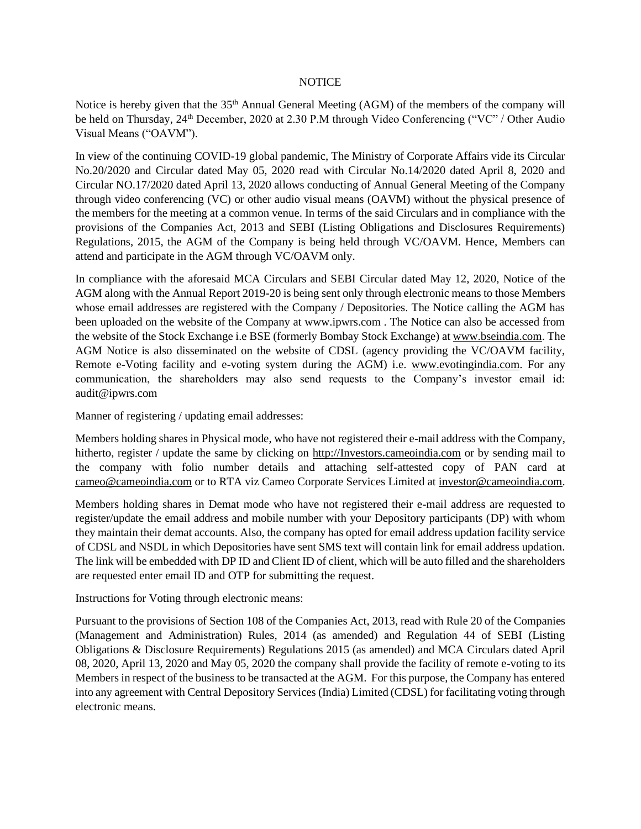## **NOTICE**

Notice is hereby given that the 35<sup>th</sup> Annual General Meeting (AGM) of the members of the company will be held on Thursday, 24<sup>th</sup> December, 2020 at 2.30 P.M through Video Conferencing ("VC" / Other Audio Visual Means ("OAVM").

In view of the continuing COVID-19 global pandemic, The Ministry of Corporate Affairs vide its Circular No.20/2020 and Circular dated May 05, 2020 read with Circular No.14/2020 dated April 8, 2020 and Circular NO.17/2020 dated April 13, 2020 allows conducting of Annual General Meeting of the Company through video conferencing (VC) or other audio visual means (OAVM) without the physical presence of the members for the meeting at a common venue. In terms of the said Circulars and in compliance with the provisions of the Companies Act, 2013 and SEBI (Listing Obligations and Disclosures Requirements) Regulations, 2015, the AGM of the Company is being held through VC/OAVM. Hence, Members can attend and participate in the AGM through VC/OAVM only.

In compliance with the aforesaid MCA Circulars and SEBI Circular dated May 12, 2020, Notice of the AGM along with the Annual Report 2019-20 is being sent only through electronic means to those Members whose email addresses are registered with the Company / Depositories. The Notice calling the AGM has been uploaded on the website of the Company at www.ipwrs.com . The Notice can also be accessed from the website of the Stock Exchange i.e BSE (formerly Bombay Stock Exchange) a[t www.bseindia.com.](http://www.bseindia.com/) The AGM Notice is also disseminated on the website of CDSL (agency providing the VC/OAVM facility, Remote e-Voting facility and e-voting system during the AGM) i.e. [www.evotingindia.com.](http://www.evotingindia.com/) For any communication, the shareholders may also send requests to the Company's investor email id: audit@ipwrs.com

Manner of registering / updating email addresses:

Members holding shares in Physical mode, who have not registered their e-mail address with the Company, hitherto, register / update the same by clicking on [http://Investors.cameoindia.com](http://investors.cameoindia.com/) or by sending mail to the company with folio number details and attaching self-attested copy of PAN card at [cameo@cameoindia.com](mailto:cameo@cameoindia.com) or to RTA viz Cameo Corporate Services Limited at [investor@cameoindia.com.](mailto:investor@cameoindia.com)

Members holding shares in Demat mode who have not registered their e-mail address are requested to register/update the email address and mobile number with your Depository participants (DP) with whom they maintain their demat accounts. Also, the company has opted for email address updation facility service of CDSL and NSDL in which Depositories have sent SMS text will contain link for email address updation. The link will be embedded with DP ID and Client ID of client, which will be auto filled and the shareholders are requested enter email ID and OTP for submitting the request.

Instructions for Voting through electronic means:

Pursuant to the provisions of Section 108 of the Companies Act, 2013, read with Rule 20 of the Companies (Management and Administration) Rules, 2014 (as amended) and Regulation 44 of SEBI (Listing Obligations & Disclosure Requirements) Regulations 2015 (as amended) and MCA Circulars dated April 08, 2020, April 13, 2020 and May 05, 2020 the company shall provide the facility of remote e-voting to its Members in respect of the business to be transacted at the AGM. For this purpose, the Company has entered into any agreement with Central Depository Services (India) Limited (CDSL) for facilitating voting through electronic means.